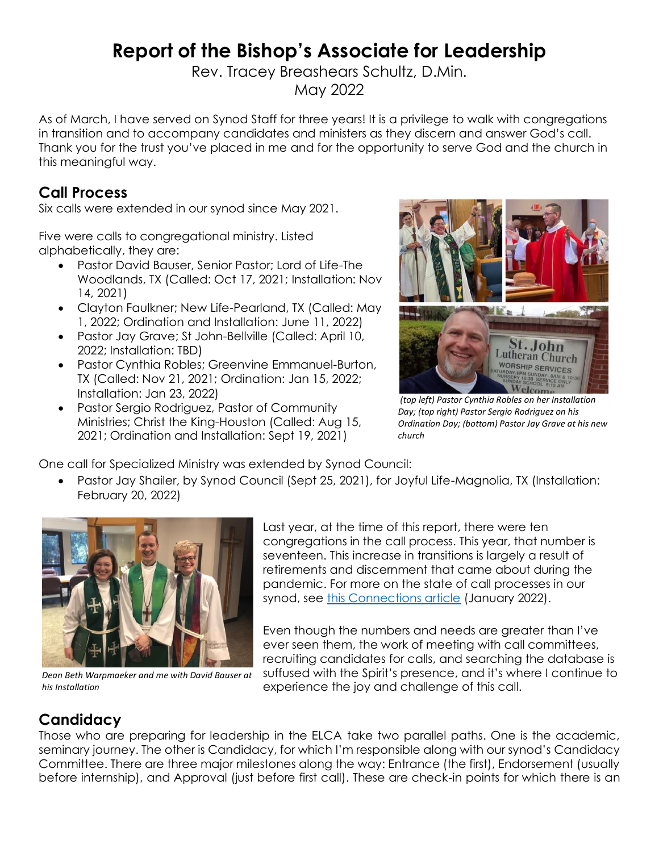# **Report of the Bishop's Associate for Leadership**

Rev. Tracey Breashears Schultz, D.Min.

May 2022

As of March, I have served on Synod Staff for three years! It is a privilege to walk with congregations in transition and to accompany candidates and ministers as they discern and answer God's call. Thank you for the trust you've placed in me and for the opportunity to serve God and the church in this meaningful way.

## **Call Process**

Six calls were extended in our synod since May 2021.

Five were calls to congregational ministry. Listed alphabetically, they are:

- Pastor David Bauser, Senior Pastor; Lord of Life-The Woodlands, TX (Called: Oct 17, 2021; Installation: Nov 14, 2021)
- Clayton Faulkner; New Life-Pearland, TX (Called: May 1, 2022; Ordination and Installation: June 11, 2022)
- Pastor Jay Grave; St John-Bellville (Called: April 10, 2022; Installation: TBD)
- Pastor Cynthia Robles; Greenvine Emmanuel-Burton, TX (Called: Nov 21, 2021; Ordination: Jan 15, 2022; Installation: Jan 23, 2022)
- Pastor Sergio Rodriguez, Pastor of Community Ministries; Christ the King-Houston (Called: Aug 15, 2021; Ordination and Installation: Sept 19, 2021)



*(top left) Pastor Cynthia Robles on her Installation Day; (top right) Pastor Sergio Rodriguez on his Ordination Day; (bottom) Pastor Jay Grave at his new church*

One call for Specialized Ministry was extended by Synod Council:

• Pastor Jay Shailer, by Synod Council (Sept 25, 2021), for Joyful Life-Magnolia, TX (Installation: February 20, 2022)



*Dean Beth Warpmaeker and me with David Bauser at his Installation*

Last year, at the time of this report, there were ten congregations in the call process. This year, that number is seventeen. This increase in transitions is largely a result of retirements and discernment that came about during the pandemic. For more on the state of call processes in our synod, see [this Connections article](https://gulfcoastsynod.org/gulf-connections/2021/12/30/a-lesson-in-kairos-call-processes-in-the-texas-louisiana-gulf-coast-synod/) (January 2022).

Even though the numbers and needs are greater than I've ever seen them, the work of meeting with call committees, recruiting candidates for calls, and searching the database is suffused with the Spirit's presence, and it's where I continue to experience the joy and challenge of this call.

# **Candidacy**

Those who are preparing for leadership in the ELCA take two parallel paths. One is the academic, seminary journey. The other is Candidacy, for which I'm responsible along with our synod's Candidacy Committee. There are three major milestones along the way: Entrance (the first), Endorsement (usually before internship), and Approval (just before first call). These are check-in points for which there is an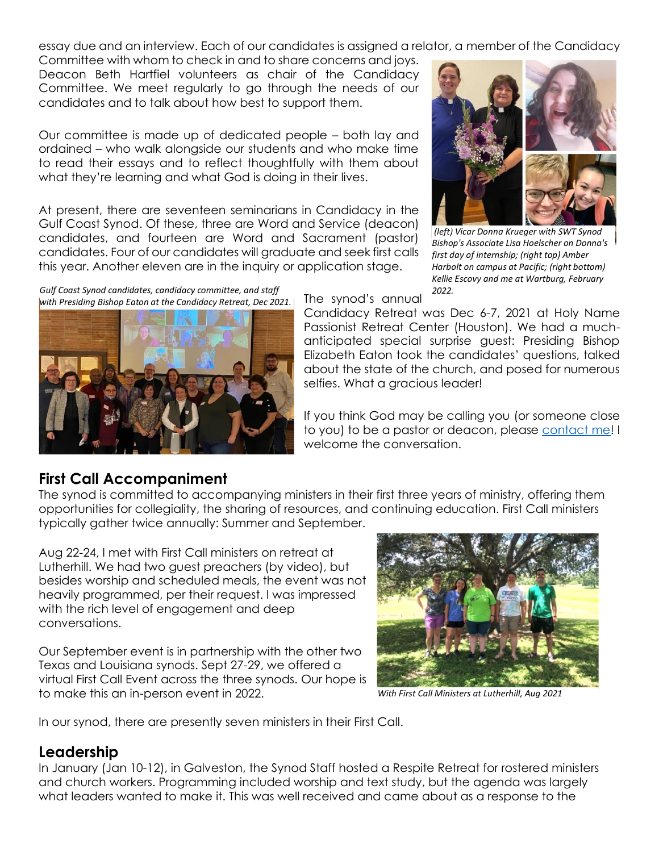essay due and an interview. Each of our candidates is assigned a relator, a member of the Candidacy

Committee with whom to check in and to share concerns and joys. Deacon Beth Hartfiel volunteers as chair of the Candidacy Committee. We meet regularly to go through the needs of our candidates and to talk about how best to support them.

Our committee is made up of dedicated people – both lay and ordained – who walk alongside our students and who make time to read their essays and to reflect thoughtfully with them about what they're learning and what God is doing in their lives.

At present, there are seventeen seminarians in Candidacy in the Gulf Coast Synod. Of these, three are Word and Service (deacon) candidates, and fourteen are Word and Sacrament (pastor) candidates. Four of our candidates will graduate and seek first calls this year. Another eleven are in the inquiry or application stage.

*Gulf Coast Synod candidates, candidacy committee, and staff 2022. with Presiding Bishop Eaton at the Candidacy Retreat, Dec 2021.*





*(left) Vicar Donna Krueger with SWT Synod Bishop's Associate Lisa Hoelscher on Donna's first day of internship; (right top) Amber Harbolt on campus at Pacific; (right bottom) Kellie Escovy and me at Wartburg, February* 

The synod's annual

Candidacy Retreat was Dec 6-7, 2021 at Holy Name Passionist Retreat Center (Houston). We had a muchanticipated special surprise guest: Presiding Bishop Elizabeth Eaton took the candidates' questions, talked about the state of the church, and posed for numerous selfies. What a gracious leader!

If you think God may be calling you (or someone close to you) to be a pastor or deacon, please [contact me!](mailto:tracey@gulfcoastsynod.org) I welcome the conversation.

### **First Call Accompaniment**

The synod is committed to accompanying ministers in their first three years of ministry, offering them opportunities for collegiality, the sharing of resources, and continuing education. First Call ministers typically gather twice annually: Summer and September.

Aug 22-24, I met with First Call ministers on retreat at Lutherhill. We had two guest preachers (by video), but besides worship and scheduled meals, the event was not heavily programmed, per their request. I was impressed with the rich level of engagement and deep conversations.

Our September event is in partnership with the other two Texas and Louisiana synods. Sept 27-29, we offered a virtual First Call Event across the three synods. Our hope is to make this an in-person event in 2022.



*With First Call Ministers at Lutherhill, Aug 2021*

In our synod, there are presently seven ministers in their First Call.

#### **Leadership**

In January (Jan 10-12), in Galveston, the Synod Staff hosted a Respite Retreat for rostered ministers and church workers. Programming included worship and text study, but the agenda was largely what leaders wanted to make it. This was well received and came about as a response to the